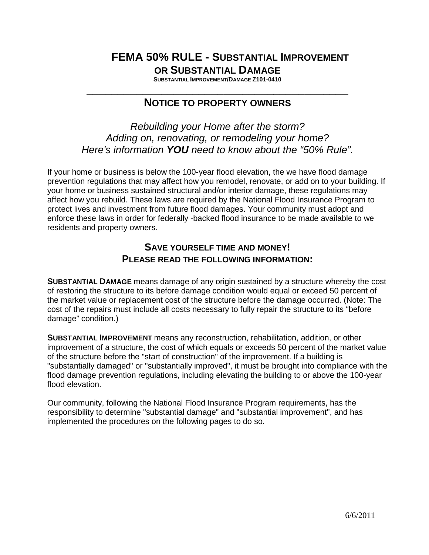# **FEMA 50% RULE - SUBSTANTIAL IMPROVEMENT OR SUBSTANTIAL DAMAGE**

**SUBSTANTIAL IMPROVEMENT/DAMAGE Z101-0410 \_\_\_\_\_\_\_\_\_\_\_\_\_\_\_\_\_\_\_\_\_\_\_\_\_\_\_\_\_\_\_\_\_\_\_\_\_\_\_\_\_\_**

## **NOTICE TO PROPERTY OWNERS**

*Rebuilding your Home after the storm? Adding on, renovating, or remodeling your home? Here's information YOU need to know about the "50% Rule".*

If your home or business is below the 100-year flood elevation, the we have flood damage prevention regulations that may affect how you remodel, renovate, or add on to your building. If your home or business sustained structural and/or interior damage, these regulations may affect how you rebuild. These laws are required by the National Flood Insurance Program to protect lives and investment from future flood damages. Your community must adopt and enforce these laws in order for federally -backed flood insurance to be made available to we residents and property owners.

### **SAVE YOURSELF TIME AND MONEY! PLEASE READ THE FOLLOWING INFORMATION:**

**SUBSTANTIAL DAMAGE** means damage of any origin sustained by a structure whereby the cost of restoring the structure to its before damage condition would equal or exceed 50 percent of the market value or replacement cost of the structure before the damage occurred. (Note: The cost of the repairs must include all costs necessary to fully repair the structure to its "before damage" condition.)

**SUBSTANTIAL IMPROVEMENT** means any reconstruction, rehabilitation, addition, or other improvement of a structure, the cost of which equals or exceeds 50 percent of the market value of the structure before the "start of construction" of the improvement. If a building is "substantially damaged" or "substantially improved", it must be brought into compliance with the flood damage prevention regulations, including elevating the building to or above the 100-year flood elevation.

Our community, following the National Flood Insurance Program requirements, has the responsibility to determine "substantial damage" and "substantial improvement", and has implemented the procedures on the following pages to do so.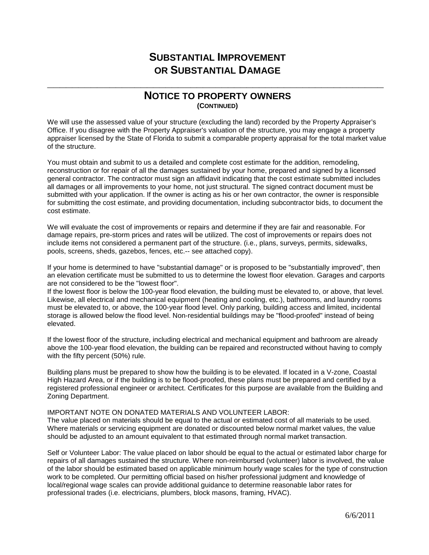### **NOTICE TO PROPERTY OWNERS (CONTINUED)**

**\_\_\_\_\_\_\_\_\_\_\_\_\_\_\_\_\_\_\_\_\_\_\_\_\_\_\_\_\_\_\_\_\_\_\_\_\_\_\_\_\_\_\_\_\_\_\_\_\_\_\_\_\_\_**

We will use the assessed value of your structure (excluding the land) recorded by the Property Appraiser's Office. If you disagree with the Property Appraiser's valuation of the structure, you may engage a property appraiser licensed by the State of Florida to submit a comparable property appraisal for the total market value of the structure.

You must obtain and submit to us a detailed and complete cost estimate for the addition, remodeling, reconstruction or for repair of all the damages sustained by your home, prepared and signed by a licensed general contractor. The contractor must sign an affidavit indicating that the cost estimate submitted includes all damages or all improvements to your home, not just structural. The signed contract document must be submitted with your application. If the owner is acting as his or her own contractor, the owner is responsible for submitting the cost estimate, and providing documentation, including subcontractor bids, to document the cost estimate.

We will evaluate the cost of improvements or repairs and determine if they are fair and reasonable. For damage repairs, pre-storm prices and rates will be utilized. The cost of improvements or repairs does not include items not considered a permanent part of the structure. (i.e., plans, surveys, permits, sidewalks, pools, screens, sheds, gazebos, fences, etc.-- see attached copy).

If your home is determined to have "substantial damage" or is proposed to be "substantially improved", then an elevation certificate must be submitted to us to determine the lowest floor elevation. Garages and carports are not considered to be the "lowest floor".

If the lowest floor is below the 100-year flood elevation, the building must be elevated to, or above, that level. Likewise, all electrical and mechanical equipment (heating and cooling, etc.), bathrooms, and laundry rooms must be elevated to, or above, the 100-year flood level. Only parking, building access and limited, incidental storage is allowed below the flood level. Non-residential buildings may be "flood-proofed" instead of being elevated.

If the lowest floor of the structure, including electrical and mechanical equipment and bathroom are already above the 100-year flood elevation, the building can be repaired and reconstructed without having to comply with the fifty percent (50%) rule.

Building plans must be prepared to show how the building is to be elevated. If located in a V-zone, Coastal High Hazard Area, or if the building is to be flood-proofed, these plans must be prepared and certified by a registered professional engineer or architect. Certificates for this purpose are available from the Building and Zoning Department.

#### IMPORTANT NOTE ON DONATED MATERIALS AND VOLUNTEER LABOR:

The value placed on materials should be equal to the actual or estimated cost of all materials to be used. Where materials or servicing equipment are donated or discounted below normal market values, the value should be adjusted to an amount equivalent to that estimated through normal market transaction.

Self or Volunteer Labor: The value placed on labor should be equal to the actual or estimated labor charge for repairs of all damages sustained the structure. Where non-reimbursed (volunteer) labor is involved, the value of the labor should be estimated based on applicable minimum hourly wage scales for the type of construction work to be completed. Our permitting official based on his/her professional judgment and knowledge of local/regional wage scales can provide additional guidance to determine reasonable labor rates for professional trades (i.e. electricians, plumbers, block masons, framing, HVAC).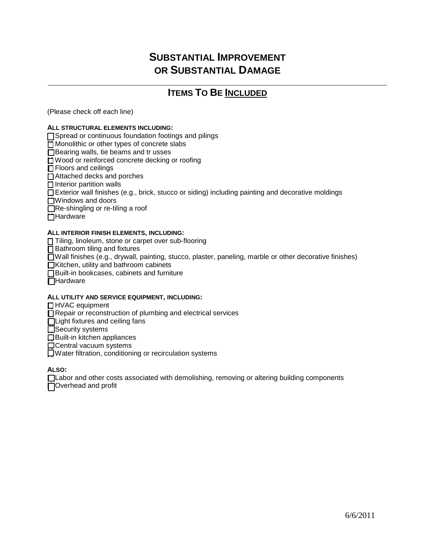### **\_\_\_\_\_\_\_\_\_\_\_\_\_\_\_\_\_\_\_\_\_\_\_\_\_\_\_\_\_\_\_\_\_\_\_\_\_\_\_\_\_\_\_\_\_\_\_\_\_\_\_\_\_\_\_\_\_\_\_\_\_\_\_\_\_\_\_ ITEMS TO BE INCLUDED**

(Please check off each line)

#### **ALL STRUCTURAL ELEMENTS INCLUDING:**

 $\Box$  Spread or continuous foundation footings and pilings

 $\Box$  Monolithic or other types of concrete slabs

 $\Box$  Bearing walls, tie beams and tr usses

[ ] Wood or reinforced concrete decking or roofing

 $\Box$  Floors and ceilings

 $\Box$  Attached decks and porches

 $\Box$  Interior partition walls

□ Exterior wall finishes (e.g., brick, stucco or siding) including painting and decorative moldings

 $\Box$  Windows and doors

 $\Box$  Re-shingling or re-tiling a roof

[ ] Hardware

#### **ALL INTERIOR FINISH ELEMENTS, INCLUDING:**

 $\Box$  Tiling, linoleum, stone or carpet over sub-flooring

 $\Box$  Bathroom tiling and fixtures

 $\Box$  Wall finishes (e.g., drywall, painting, stucco, plaster, paneling, marble or other decorative finishes)

 $\Box$  Kitchen, utility and bathroom cabinets

□ Built-in bookcases, cabinets and furniture

 $\Box$ Hardware

#### **ALL UTILITY AND SERVICE EQUIPMENT, INCLUDING:**

□ HVAC equipment

■ Repair or reconstruction of plumbing and electrical services

 $\Box$  Light fixtures and ceiling fans

[ ] Security systems

 $\Box$  Built-in kitchen appliances

 $\Box$  Central vacuum systems

 $\Box$  Water filtration, conditioning or recirculation systems

**ALSO:**

[Labor and other costs associated with demolishing, removing or altering building components  $\Box$  Overhead and profit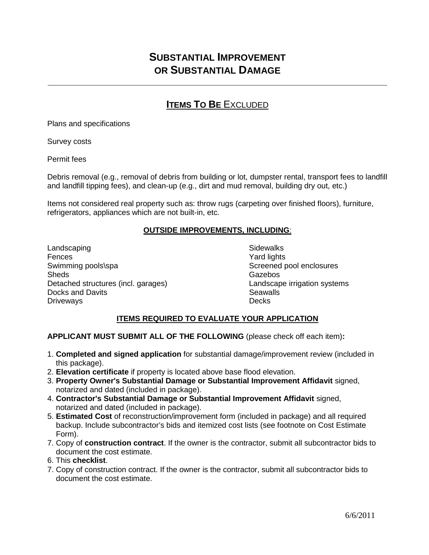**\_\_\_\_\_\_\_\_\_\_\_\_\_\_\_\_\_\_\_\_\_\_\_\_\_\_\_\_\_\_\_\_\_\_\_\_\_\_\_\_\_\_\_\_\_\_\_\_\_\_\_\_\_\_\_\_\_\_\_\_\_\_\_\_\_\_\_**

## **ITEMS TO BE EXCLUDED**

Plans and specifications

Survey costs

Permit fees

Debris removal (e.g., removal of debris from building or lot, dumpster rental, transport fees to landfill and landfill tipping fees), and clean-up (e.g., dirt and mud removal, building dry out, etc.)

Items not considered real property such as: throw rugs (carpeting over finished floors), furniture, refrigerators, appliances which are not built-in, etc.

#### **OUTSIDE IMPROVEMENTS, INCLUDING**:

Landscaping **Sidewalks** Fences **Yard lights** Swimming pools\spa Swimming pools\spa Screened pool enclosures<br>Sheds Sheds Sheds Sheds Sheds Sheds Sheds Sheds Sheds Sheds Sheds Sheds Sheds Sheds Sheds Sheds Sheds Sheds Sh Detached structures (incl. garages) Landscape irrigation systems Docks and Davits Seawalls Driveways

**Gazebos** 

#### **ITEMS REQUIRED TO EVALUATE YOUR APPLICATION**

#### **APPLICANT MUST SUBMIT ALL OF THE FOLLOWING** (please check off each item)**:**

- 1. **Completed and signed application** for substantial damage/improvement review (included in this package).
- 2. **Elevation certificate** if property is located above base flood elevation.
- 3. **Property Owner's Substantial Damage or Substantial Improvement Affidavit** signed, notarized and dated (included in package).
- 4. **Contractor's Substantial Damage or Substantial Improvement Affidavit** signed, notarized and dated (included in package).
- 5. **Estimated Cost** of reconstruction/improvement form (included in package) and all required backup. Include subcontractor's bids and itemized cost lists (see footnote on Cost Estimate Form).
- 7. Copy of **construction contract**. If the owner is the contractor, submit all subcontractor bids to document the cost estimate.
- 6. This **checklist**.
- 7. Copy of construction contract. If the owner is the contractor, submit all subcontractor bids to document the cost estimate.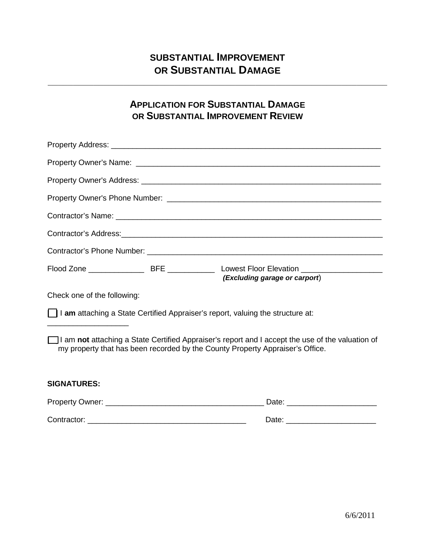**\_\_\_\_\_\_\_\_\_\_\_\_\_\_\_\_\_\_\_\_\_\_\_\_\_\_\_\_\_\_\_\_\_\_\_\_\_\_\_\_\_\_\_\_\_\_\_\_\_\_\_\_\_\_\_\_\_\_\_\_\_\_\_\_\_\_\_**

## **APPLICATION FOR SUBSTANTIAL DAMAGE OR SUBSTANTIAL IMPROVEMENT REVIEW**

| (Excluding garage or carport)                                                                                                                                                     |
|-----------------------------------------------------------------------------------------------------------------------------------------------------------------------------------|
| Check one of the following:                                                                                                                                                       |
| am attaching a State Certified Appraiser's report, valuing the structure at:                                                                                                      |
| I am not attaching a State Certified Appraiser's report and I accept the use of the valuation of<br>my property that has been recorded by the County Property Appraiser's Office. |
| <b>SIGNATURES:</b>                                                                                                                                                                |
|                                                                                                                                                                                   |
|                                                                                                                                                                                   |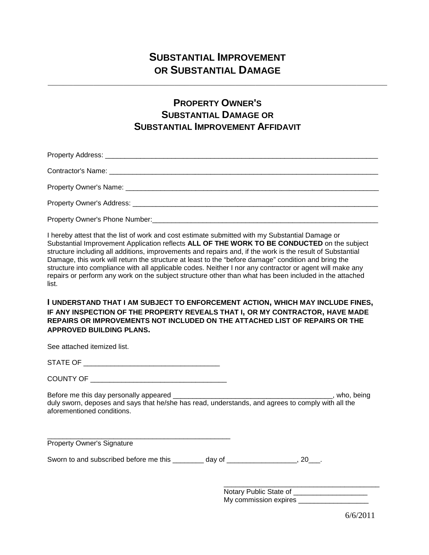**\_\_\_\_\_\_\_\_\_\_\_\_\_\_\_\_\_\_\_\_\_\_\_\_\_\_\_\_\_\_\_\_\_\_\_\_\_\_\_\_\_\_\_\_\_\_\_\_\_\_\_\_\_\_\_\_\_\_\_\_\_\_\_\_\_\_\_**

## **PROPERTY OWNER'S SUBSTANTIAL DAMAGE OR SUBSTANTIAL IMPROVEMENT AFFIDAVIT**

Property Address: **with a strategies of the strategies** of the strategies of the strategies of the strategies of the strategies of the strategies of the strategies of the strategies of the strategies of the strategies of t

Contractor's Name: \_\_\_\_\_\_\_\_\_\_\_\_\_\_\_\_\_\_\_\_\_\_\_\_\_\_\_\_\_\_\_\_\_\_\_\_\_\_\_\_\_\_\_\_\_\_\_\_\_\_\_\_\_\_\_\_\_\_\_\_\_\_\_\_\_\_\_\_\_

Property Owner's Name: \_\_\_\_\_\_\_\_\_\_\_\_\_\_\_\_\_\_\_\_\_\_\_\_\_\_\_\_\_\_\_\_\_\_\_\_\_\_\_\_\_\_\_\_\_\_\_\_\_\_\_\_\_\_\_\_\_\_\_\_\_\_\_\_\_

Property Owner's Address: **Example 20** and 20 and 20 and 20 and 20 and 20 and 20 and 20 and 20 and 20 and 20 and 20 and 20 and 20 and 20 and 20 and 20 and 20 and 20 and 20 and 20 and 20 and 20 and 20 and 20 and 20 and 20 a

Property Owner's Phone Number:

I hereby attest that the list of work and cost estimate submitted with my Substantial Damage or Substantial Improvement Application reflects **ALL OF THE WORK TO BE CONDUCTED** on the subject structure including all additions, improvements and repairs and, if the work is the result of Substantial Damage, this work will return the structure at least to the "before damage" condition and bring the structure into compliance with all applicable codes. Neither I nor any contractor or agent will make any repairs or perform any work on the subject structure other than what has been included in the attached list.

**I UNDERSTAND THAT I AM SUBJECT TO ENFORCEMENT ACTION, WHICH MAY INCLUDE FINES, IF ANY INSPECTION OF THE PROPERTY REVEALS THAT I, OR MY CONTRACTOR, HAVE MADE REPAIRS OR IMPROVEMENTS NOT INCLUDED ON THE ATTACHED LIST OF REPAIRS OR THE APPROVED BUILDING PLANS.**

See attached itemized list.

| STATE OF<br>$\cdot$ |
|---------------------|
|---------------------|

Before me this day personally appeared \_\_\_\_\_\_\_\_\_\_\_\_\_\_\_\_\_\_\_\_\_\_\_\_\_\_\_\_\_\_\_\_\_\_\_\_\_\_\_\_\_, who, being duly sworn, deposes and says that he/she has read, understands, and agrees to comply with all the aforementioned conditions.

\_\_\_\_\_\_\_\_\_\_\_\_\_\_\_\_\_\_\_\_\_\_\_\_\_\_\_\_\_\_\_\_\_\_\_\_\_\_\_\_\_\_\_\_\_\_\_ Property Owner's Signature

Sworn to and subscribed before me this day of  $\qquad \qquad$ , 20.

\_\_\_\_\_\_\_\_\_\_\_\_\_\_\_\_\_\_\_\_\_\_\_\_\_\_\_\_\_\_\_\_\_\_\_\_\_\_\_\_ Notary Public State of My commission expires

6/6/2011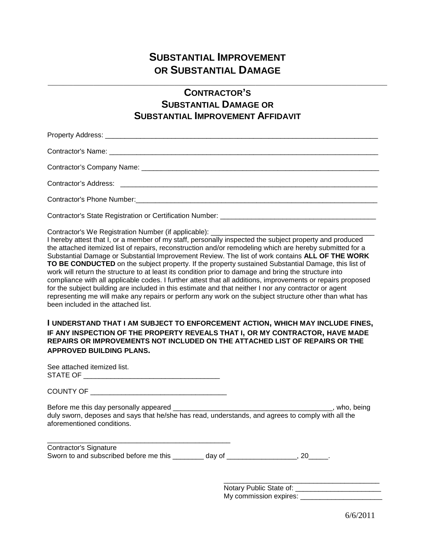**\_\_\_\_\_\_\_\_\_\_\_\_\_\_\_\_\_\_\_\_\_\_\_\_\_\_\_\_\_\_\_\_\_\_\_\_\_\_\_\_\_\_\_\_\_\_\_\_\_\_\_\_\_\_\_\_\_\_\_\_\_\_\_\_\_\_\_**

## **CONTRACTOR'S SUBSTANTIAL DAMAGE OR SUBSTANTIAL IMPROVEMENT AFFIDAVIT**

Property Address: \_\_\_\_\_\_\_\_\_\_\_\_\_\_\_\_\_\_\_\_\_\_\_\_\_\_\_\_\_\_\_\_\_\_\_\_\_\_\_\_\_\_\_\_\_\_\_\_\_\_\_\_\_\_\_\_\_\_\_\_\_\_\_\_\_\_\_\_\_\_ Contractor's Name:  $\Box$ Contractor's Company Name:  $\Box$ 

Contractor's Address: \_\_\_\_\_\_\_\_\_\_\_\_\_\_\_\_\_\_\_\_\_\_\_\_\_\_\_\_\_\_\_\_\_\_\_\_\_\_\_\_\_\_\_\_\_\_\_\_\_\_\_\_\_\_\_\_\_\_\_\_\_\_\_\_\_\_

Contractor's Phone Number: **We are all that the end-of the end-of the end-of the end-of the end-of the end-of the end-of the end-of the end-of the end-of the end-of the end-of the end-of the end-of the end-of the end-of th** 

Contractor's State Registration or Certification Number: \_\_\_\_\_\_\_\_\_\_\_\_\_\_\_\_\_\_\_\_\_\_\_\_\_\_\_\_\_\_\_\_\_\_\_\_\_\_\_\_

Contractor's We Registration Number (if applicable):

I hereby attest that I, or a member of my staff, personally inspected the subject property and produced the attached itemized list of repairs, reconstruction and/or remodeling which are hereby submitted for a Substantial Damage or Substantial Improvement Review. The list of work contains **ALL OF THE WORK TO BE CONDUCTED** on the subject property. If the property sustained Substantial Damage, this list of work will return the structure to at least its condition prior to damage and bring the structure into compliance with all applicable codes. I further attest that all additions, improvements or repairs proposed for the subject building are included in this estimate and that neither I nor any contractor or agent representing me will make any repairs or perform any work on the subject structure other than what has been included in the attached list.

**I UNDERSTAND THAT I AM SUBJECT TO ENFORCEMENT ACTION, WHICH MAY INCLUDE FINES, IF ANY INSPECTION OF THE PROPERTY REVEALS THAT I, OR MY CONTRACTOR, HAVE MADE REPAIRS OR IMPROVEMENTS NOT INCLUDED ON THE ATTACHED LIST OF REPAIRS OR THE APPROVED BUILDING PLANS.**

See attached itemized list. STATE OF \_\_\_\_\_\_\_\_\_\_\_\_\_\_\_\_\_\_\_\_\_\_\_\_\_\_\_\_\_\_\_\_\_\_\_

COUNTY OF QUALITY OF THE COUNTY OF

\_\_\_\_\_\_\_\_\_\_\_\_\_\_\_\_\_\_\_\_\_\_\_\_\_\_\_\_\_\_\_\_\_\_\_\_\_\_\_\_\_\_\_\_\_\_\_

Before me this day personally appeared \_\_\_\_\_\_\_\_\_\_\_\_\_\_\_\_\_\_\_\_\_\_\_\_\_\_\_\_\_\_\_\_\_\_\_\_\_\_\_\_\_, who, being duly sworn, deposes and says that he/she has read, understands, and agrees to comply with all the aforementioned conditions.

Contractor's Signature Sworn to and subscribed before me this day of the subscribed before me this day of the state of the state of the state of the state of the state of the state of the state of the state of the state of the state of the state

> \_\_\_\_\_\_\_\_\_\_\_\_\_\_\_\_\_\_\_\_\_\_\_\_\_\_\_\_\_\_\_\_\_\_\_\_\_\_\_\_ Notary Public State of: \_\_\_\_\_\_\_\_\_\_\_\_\_\_\_\_\_\_\_\_\_\_ My commission expires: \_\_\_\_\_\_\_\_\_\_\_\_\_\_\_\_\_\_\_\_\_